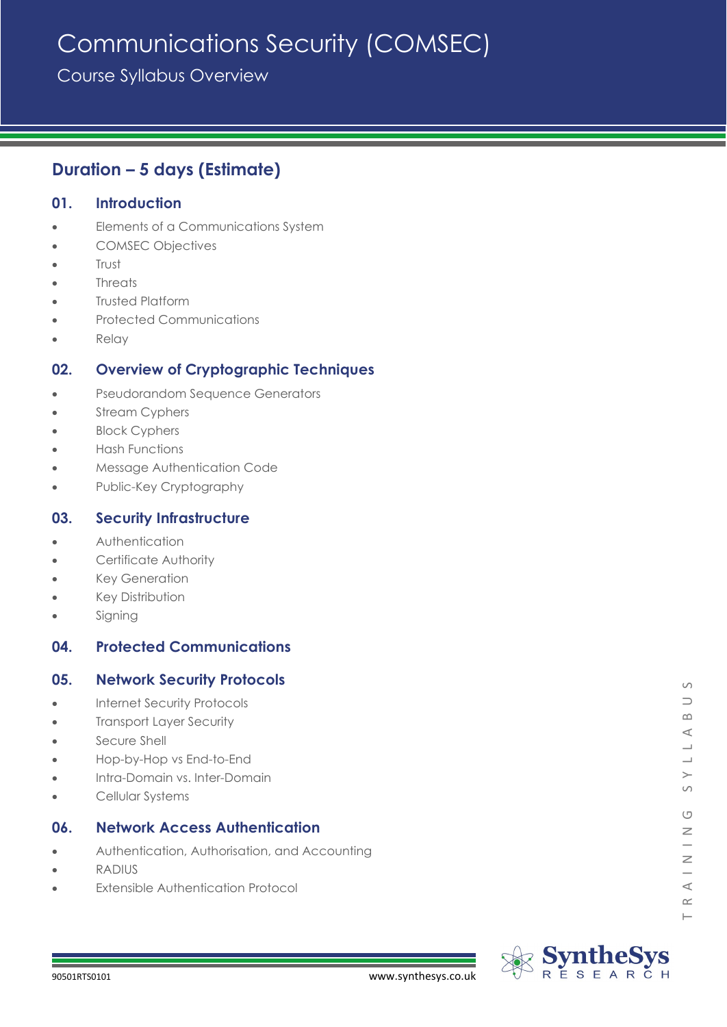# Communications Security (COMSEC)

Course Syllabus Overview

# **Duration – 5 days (Estimate)**

# **01. Introduction**

- Elements of a Communications System
- COMSEC Objectives
- Trust
- **Threats**
- Trusted Platform
- Protected Communications
- Relay

# **02. Overview of Cryptographic Techniques**

- Pseudorandom Sequence Generators
- Stream Cyphers
- **Block Cyphers**
- Hash Functions
- Message Authentication Code
- Public-Key Cryptography

### **03. Security Infrastructure**

- **Authentication**
- Certificate Authority
- **Key Generation**
- Key Distribution
- **Signing**

# **04. Protected Communications**

# **05. Network Security Protocols**

- Internet Security Protocols
- **Transport Layer Security**
- Secure Shell
- Hop-by-Hop vs End-to-End
- Intra-Domain vs. Inter-Domain
- Cellular Systems

# **06. Network Access Authentication**

- Authentication, Authorisation, and Accounting
- RADIUS
- **Extensible Authentication Protocol**

 $\vdash$ 

 $\circ$  $\supset$